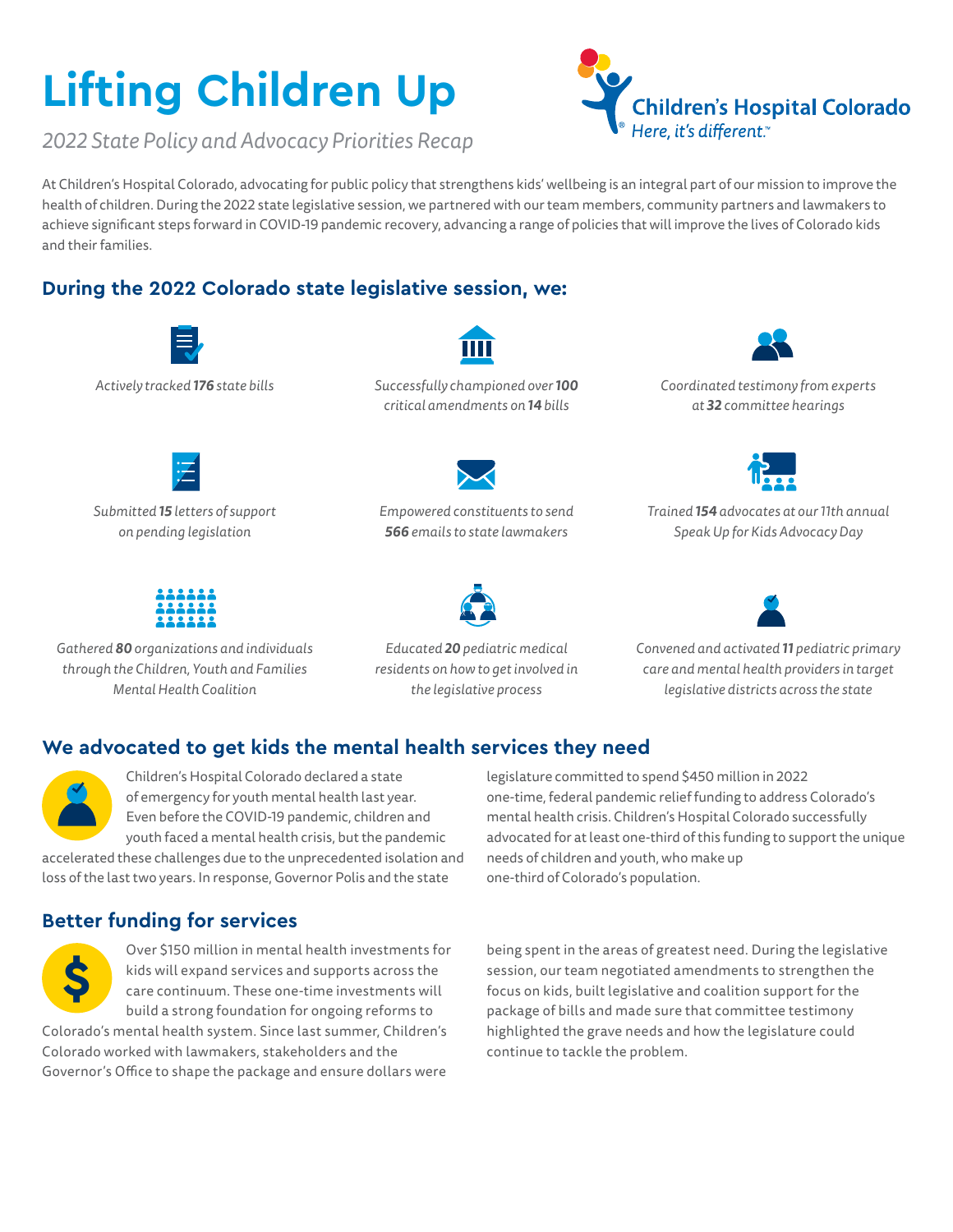# **Lifting Children Up**



*2022 State Policy and Advocacy Priorities Recap* 

At Children's Hospital Colorado, advocating for public policy that strengthens kids' wellbeing is an integral part of our mission to improve the health of children. During the 2022 state legislative session, we partnered with our team members, community partners and lawmakers to achieve significant steps forward in COVID-19 pandemic recovery, advancing a range of policies that will improve the lives of Colorado kids and their families.

# **During the 2022 Colorado state legislative session, we:**



*Gathered 80 organizations and individuals through the Children, Youth and Families Mental Health Coalition*

*Educated 20 pediatric medical residents on how to get involved in the legislative process*

*Convened and activated 11 pediatric primary care and mental health providers in target legislative districts across the state* 

# **We advocated to get kids the mental health services they need**



Children's Hospital Colorado declared a state of emergency for youth mental health last year. Even before the COVID-19 pandemic, children and youth faced a mental health crisis, but the pandemic

accelerated these challenges due to the unprecedented isolation and loss of the last two years. In response, Governor Polis and the state

# **Better funding for services**



Over \$150 million in mental health investments for kids will expand services and supports across the care continuum. These one-time investments will build a strong foundation for ongoing reforms to

Colorado's mental health system. Since last summer, Children's Colorado worked with lawmakers, stakeholders and the Governor's Office to shape the package and ensure dollars were legislature committed to spend \$450 million in 2022 one-time, federal pandemic relief funding to address Colorado's mental health crisis. Children's Hospital Colorado successfully advocated for at least one-third of this funding to support the unique needs of children and youth, who make up one-third of Colorado's population.

being spent in the areas of greatest need. During the legislative session, our team negotiated amendments to strengthen the focus on kids, built legislative and coalition support for the package of bills and made sure that committee testimony highlighted the grave needs and how the legislature could continue to tackle the problem.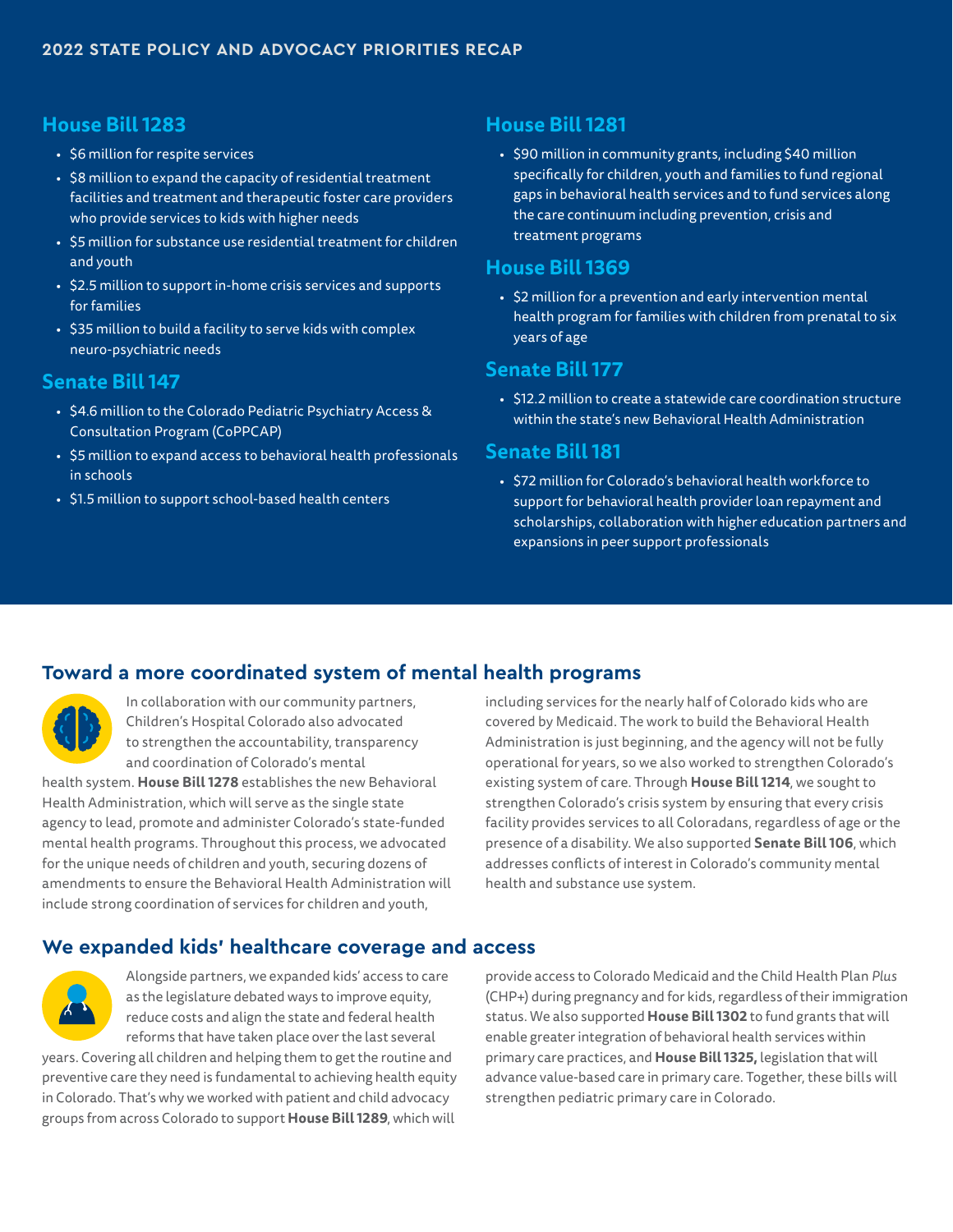#### **House Bill 1283**

- \$6 million for respite services
- \$8 million to expand the capacity of residential treatment facilities and treatment and therapeutic foster care providers who provide services to kids with higher needs
- \$5 million for substance use residential treatment for children and youth
- \$2.5 million to support in-home crisis services and supports for families
- \$35 million to build a facility to serve kids with complex neuro-psychiatric needs

#### **Senate Bill 147**

- \$4.6 million to the Colorado Pediatric Psychiatry Access & Consultation Program (CoPPCAP)
- \$5 million to expand access to behavioral health professionals in schools
- \$1.5 million to support school-based health centers

#### **House Bill 1281**

• \$90 million in community grants, including \$40 million specifically for children, youth and families to fund regional gaps in behavioral health services and to fund services along the care continuum including prevention, crisis and treatment programs

#### **House Bill 1369**

• \$2 million for a prevention and early intervention mental health program for families with children from prenatal to six years of age

#### **Senate Bill 177**

• \$12.2 million to create a statewide care coordination structure within the state's new Behavioral Health Administration

#### **Senate Bill 181**

• \$72 million for Colorado's behavioral health workforce to support for behavioral health provider loan repayment and scholarships, collaboration with higher education partners and expansions in peer support professionals

#### **Toward a more coordinated system of mental health programs**



In collaboration with our community partners, Children's Hospital Colorado also advocated to strengthen the accountability, transparency and coordination of Colorado's mental

health system. **House Bill 1278** establishes the new Behavioral Health Administration, which will serve as the single state agency to lead, promote and administer Colorado's state-funded mental health programs. Throughout this process, we advocated for the unique needs of children and youth, securing dozens of amendments to ensure the Behavioral Health Administration will include strong coordination of services for children and youth,

including services for the nearly half of Colorado kids who are covered by Medicaid. The work to build the Behavioral Health Administration is just beginning, and the agency will not be fully operational for years, so we also worked to strengthen Colorado's existing system of care. Through **House Bill 1214**, we sought to strengthen Colorado's crisis system by ensuring that every crisis facility provides services to all Coloradans, regardless of age or the presence of a disability. We also supported **Senate Bill 106**, which addresses conflicts of interest in Colorado's community mental health and substance use system.

#### **We expanded kids' healthcare coverage and access**



Alongside partners, we expanded kids' access to care as the legislature debated ways to improve equity, reduce costs and align the state and federal health reforms that have taken place over the last several years. Covering all children and helping them to get the routine and

preventive care they need is fundamental to achieving health equity in Colorado. That's why we worked with patient and child advocacy groups from across Colorado to support **House Bill 1289**, which will

provide access to Colorado Medicaid and the Child Health Plan *Plus* (CHP+) during pregnancy and for kids, regardless of their immigration status. We also supported **House Bill 1302** to fund grants that will enable greater integration of behavioral health services within primary care practices, and **House Bill 1325,** legislation that will advance value-based care in primary care. Together, these bills will strengthen pediatric primary care in Colorado.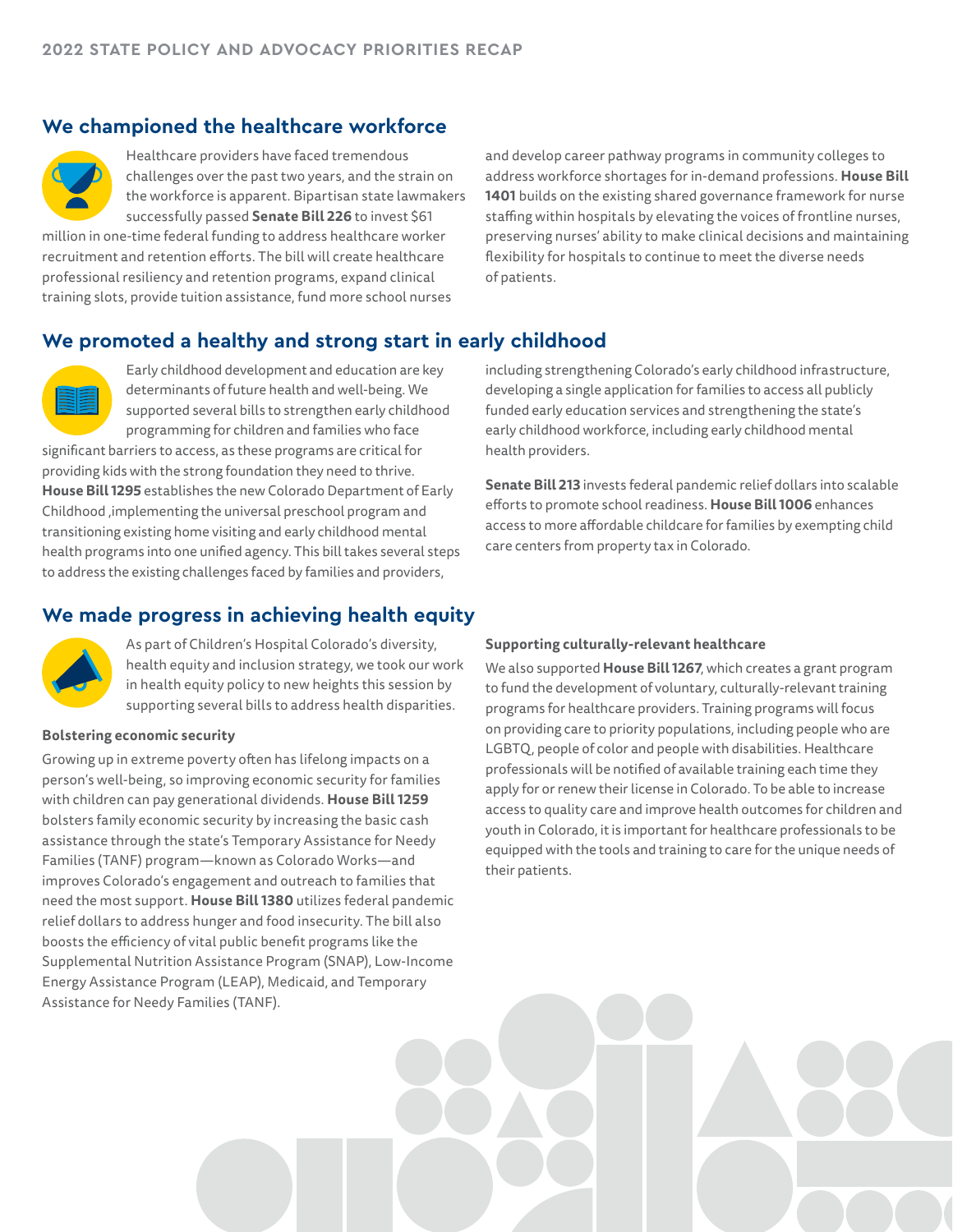## **We championed the healthcare workforce**



Healthcare providers have faced tremendous challenges over the past two years, and the strain on the workforce is apparent. Bipartisan state lawmakers successfully passed **Senate Bill 226** to invest \$61

million in one-time federal funding to address healthcare worker recruitment and retention efforts. The bill will create healthcare professional resiliency and retention programs, expand clinical training slots, provide tuition assistance, fund more school nurses

and develop career pathway programs in community colleges to address workforce shortages for in-demand professions. **House Bill 1401** builds on the existing shared governance framework for nurse staffing within hospitals by elevating the voices of frontline nurses, preserving nurses' ability to make clinical decisions and maintaining flexibility for hospitals to continue to meet the diverse needs of patients.

#### **We promoted a healthy and strong start in early childhood**



Early childhood development and education are key determinants of future health and well-being. We supported several bills to strengthen early childhood programming for children and families who face

significant barriers to access, as these programs are critical for providing kids with the strong foundation they need to thrive. **House Bill 1295** establishes the new Colorado Department of Early Childhood ,implementing the universal preschool program and transitioning existing home visiting and early childhood mental health programs into one unified agency. This bill takes several steps to address the existing challenges faced by families and providers,

including strengthening Colorado's early childhood infrastructure, developing a single application for families to access all publicly funded early education services and strengthening the state's early childhood workforce, including early childhood mental health providers.

**Senate Bill 213** invests federal pandemic relief dollars into scalable efforts to promote school readiness. **House Bill 1006** enhances access to more affordable childcare for families by exempting child care centers from property tax in Colorado.

## **We made progress in achieving health equity**



As part of Children's Hospital Colorado's diversity, health equity and inclusion strategy, we took our work in health equity policy to new heights this session by supporting several bills to address health disparities.

#### **Bolstering economic security**

Growing up in extreme poverty often has lifelong impacts on a person's well-being, so improving economic security for families with children can pay generational dividends. **House Bill 1259**  bolsters family economic security by increasing the basic cash assistance through the state's Temporary Assistance for Needy Families (TANF) program—known as Colorado Works—and improves Colorado's engagement and outreach to families that need the most support. **House Bill 1380** utilizes federal pandemic relief dollars to address hunger and food insecurity. The bill also boosts the efficiency of vital public benefit programs like the Supplemental Nutrition Assistance Program (SNAP), Low-Income Energy Assistance Program (LEAP), Medicaid, and Temporary Assistance for Needy Families (TANF).

#### **Supporting culturally-relevant healthcare**

We also supported **House Bill 1267**, which creates a grant program to fund the development of voluntary, culturally-relevant training programs for healthcare providers. Training programs will focus on providing care to priority populations, including people who are LGBTQ, people of color and people with disabilities. Healthcare professionals will be notified of available training each time they apply for or renew their license in Colorado. To be able to increase access to quality care and improve health outcomes for children and youth in Colorado, it is important for healthcare professionals to be equipped with the tools and training to care for the unique needs of their patients.